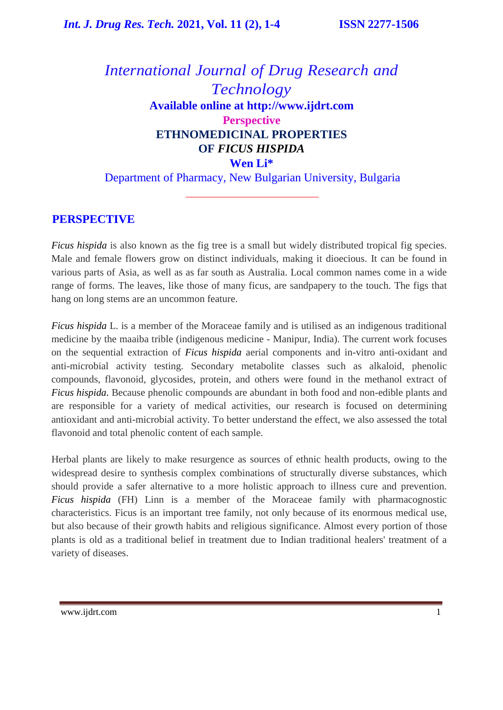# *International Journal of Drug Research and Technology* **Available online at [http://www.ijdrt.com](http://www.ijdrt.com/) Perspective ETHNOMEDICINAL PROPERTIES OF** *FICUS HISPIDA*  **Wen Li\*** Department of Pharmacy, New Bulgarian University, Bulgaria

## **PERSPECTIVE**

*Ficus hispida* is also known as the fig tree is a small but widely distributed tropical fig species. Male and female flowers grow on distinct individuals, making it dioecious. It can be found in various parts of Asia, as well as as far south as Australia. Local common names come in a wide range of forms. The leaves, like those of many ficus, are sandpapery to the touch. The figs that hang on long stems are an uncommon feature.

*Ficus hispida* L. is a member of the Moraceae family and is utilised as an indigenous traditional medicine by the maaiba trible (indigenous medicine - Manipur, India). The current work focuses on the sequential extraction of *Ficus hispida* aerial components and in-vitro anti-oxidant and anti-microbial activity testing. Secondary metabolite classes such as alkaloid, phenolic compounds, flavonoid, glycosides, protein, and others were found in the methanol extract of *Ficus hispida*. Because phenolic compounds are abundant in both food and non-edible plants and are responsible for a variety of medical activities, our research is focused on determining antioxidant and anti-microbial activity. To better understand the effect, we also assessed the total flavonoid and total phenolic content of each sample.

Herbal plants are likely to make resurgence as sources of ethnic health products, owing to the widespread desire to synthesis complex combinations of structurally diverse substances, which should provide a safer alternative to a more holistic approach to illness cure and prevention. *Ficus hispida* (FH) Linn is a member of the Moraceae family with pharmacognostic characteristics. Ficus is an important tree family, not only because of its enormous medical use, but also because of their growth habits and religious significance. Almost every portion of those plants is old as a traditional belief in treatment due to Indian traditional healers' treatment of a variety of diseases.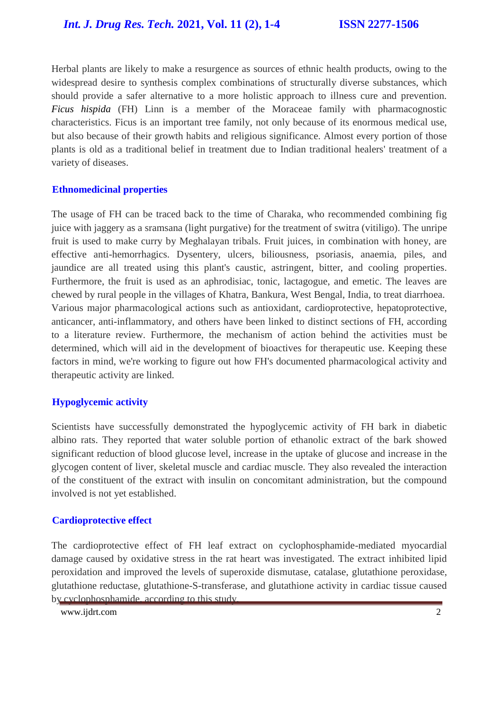Herbal plants are likely to make a resurgence as sources of ethnic health products, owing to the widespread desire to synthesis complex combinations of structurally diverse substances, which should provide a safer alternative to a more holistic approach to illness cure and prevention. *Ficus hispida* (FH) Linn is a member of the Moraceae family with pharmacognostic characteristics. Ficus is an important tree family, not only because of its enormous medical use, but also because of their growth habits and religious significance. Almost every portion of those plants is old as a traditional belief in treatment due to Indian traditional healers' treatment of a variety of diseases.

#### **Ethnomedicinal properties**

The usage of FH can be traced back to the time of Charaka, who recommended combining fig juice with jaggery as a sramsana (light purgative) for the treatment of switra (vitiligo). The unripe fruit is used to make curry by Meghalayan tribals. Fruit juices, in combination with honey, are effective anti-hemorrhagics. Dysentery, ulcers, biliousness, psoriasis, anaemia, piles, and jaundice are all treated using this plant's caustic, astringent, bitter, and cooling properties. Furthermore, the fruit is used as an aphrodisiac, tonic, lactagogue, and emetic. The leaves are chewed by rural people in the villages of Khatra, Bankura, West Bengal, India, to treat diarrhoea. Various major pharmacological actions such as antioxidant, cardioprotective, hepatoprotective, anticancer, anti-inflammatory, and others have been linked to distinct sections of FH, according to a literature review. Furthermore, the mechanism of action behind the activities must be determined, which will aid in the development of bioactives for therapeutic use. Keeping these factors in mind, we're working to figure out how FH's documented pharmacological activity and therapeutic activity are linked.

#### **Hypoglycemic activity**

Scientists have successfully demonstrated the hypoglycemic activity of FH bark in diabetic albino rats. They reported that water soluble portion of ethanolic extract of the bark showed significant reduction of blood glucose level, increase in the uptake of glucose and increase in the glycogen content of liver, skeletal muscle and cardiac muscle. They also revealed the interaction of the constituent of the extract with insulin on concomitant administration, but the compound involved is not yet established.

#### **Cardioprotective effect**

The cardioprotective effect of FH leaf extract on cyclophosphamide-mediated myocardial damage caused by oxidative stress in the rat heart was investigated. The extract inhibited lipid peroxidation and improved the levels of superoxide dismutase, catalase, glutathione peroxidase, glutathione reductase, glutathione-S-transferase, and glutathione activity in cardiac tissue caused by cyclophosphamide, according to this study.

[www.ijdrt.com](http://www.ijdrt.com/) 2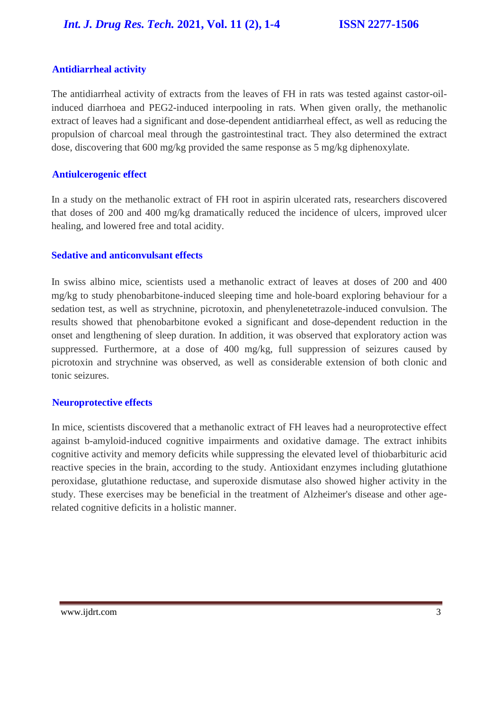## **Antidiarrheal activity**

The antidiarrheal activity of extracts from the leaves of FH in rats was tested against castor-oilinduced diarrhoea and PEG2-induced interpooling in rats. When given orally, the methanolic extract of leaves had a significant and dose-dependent antidiarrheal effect, as well as reducing the propulsion of charcoal meal through the gastrointestinal tract. They also determined the extract dose, discovering that 600 mg/kg provided the same response as 5 mg/kg diphenoxylate.

### **Antiulcerogenic effect**

In a study on the methanolic extract of FH root in aspirin ulcerated rats, researchers discovered that doses of 200 and 400 mg/kg dramatically reduced the incidence of ulcers, improved ulcer healing, and lowered free and total acidity.

### **Sedative and anticonvulsant effects**

In swiss albino mice, scientists used a methanolic extract of leaves at doses of 200 and 400 mg/kg to study phenobarbitone-induced sleeping time and hole-board exploring behaviour for a sedation test, as well as strychnine, picrotoxin, and phenylenetetrazole-induced convulsion. The results showed that phenobarbitone evoked a significant and dose-dependent reduction in the onset and lengthening of sleep duration. In addition, it was observed that exploratory action was suppressed. Furthermore, at a dose of 400 mg/kg, full suppression of seizures caused by picrotoxin and strychnine was observed, as well as considerable extension of both clonic and tonic seizures.

### **Neuroprotective effects**

In mice, scientists discovered that a methanolic extract of FH leaves had a neuroprotective effect against b-amyloid-induced cognitive impairments and oxidative damage. The extract inhibits cognitive activity and memory deficits while suppressing the elevated level of thiobarbituric acid reactive species in the brain, according to the study. Antioxidant enzymes including glutathione peroxidase, glutathione reductase, and superoxide dismutase also showed higher activity in the study. These exercises may be beneficial in the treatment of Alzheimer's disease and other agerelated cognitive deficits in a holistic manner.